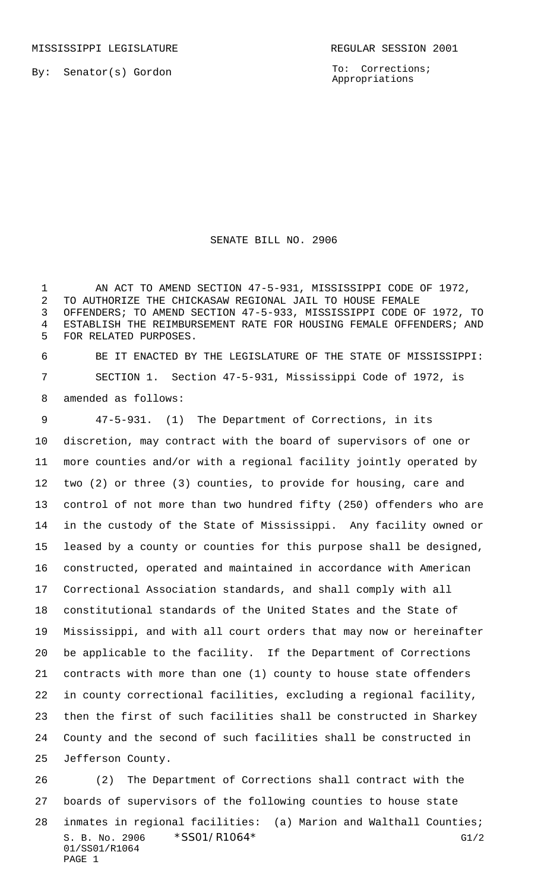By: Senator(s) Gordon

To: Corrections; Appropriations

## SENATE BILL NO. 2906

1 AN ACT TO AMEND SECTION 47-5-931, MISSISSIPPI CODE OF 1972, TO AUTHORIZE THE CHICKASAW REGIONAL JAIL TO HOUSE FEMALE OFFENDERS; TO AMEND SECTION 47-5-933, MISSISSIPPI CODE OF 1972, TO ESTABLISH THE REIMBURSEMENT RATE FOR HOUSING FEMALE OFFENDERS; AND FOR RELATED PURPOSES.

 BE IT ENACTED BY THE LEGISLATURE OF THE STATE OF MISSISSIPPI: SECTION 1. Section 47-5-931, Mississippi Code of 1972, is amended as follows:

 47-5-931. (1) The Department of Corrections, in its discretion, may contract with the board of supervisors of one or more counties and/or with a regional facility jointly operated by two (2) or three (3) counties, to provide for housing, care and control of not more than two hundred fifty (250) offenders who are in the custody of the State of Mississippi. Any facility owned or leased by a county or counties for this purpose shall be designed, constructed, operated and maintained in accordance with American Correctional Association standards, and shall comply with all constitutional standards of the United States and the State of Mississippi, and with all court orders that may now or hereinafter be applicable to the facility. If the Department of Corrections contracts with more than one (1) county to house state offenders in county correctional facilities, excluding a regional facility, then the first of such facilities shall be constructed in Sharkey County and the second of such facilities shall be constructed in Jefferson County.

S. B. No. 2906 \* SSO1/R1064\* G1/2 01/SS01/R1064 PAGE 1 (2) The Department of Corrections shall contract with the boards of supervisors of the following counties to house state inmates in regional facilities: (a) Marion and Walthall Counties;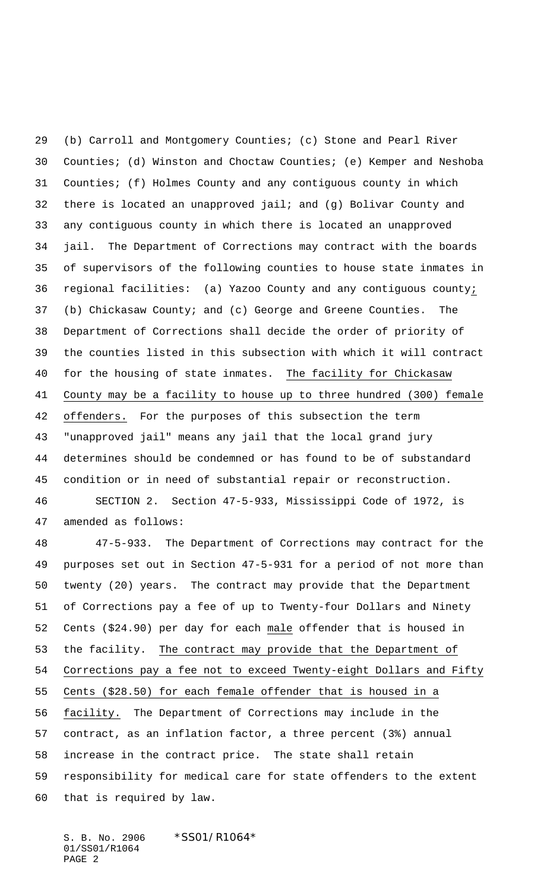(b) Carroll and Montgomery Counties; (c) Stone and Pearl River Counties; (d) Winston and Choctaw Counties; (e) Kemper and Neshoba Counties; (f) Holmes County and any contiguous county in which there is located an unapproved jail; and (g) Bolivar County and any contiguous county in which there is located an unapproved jail. The Department of Corrections may contract with the boards of supervisors of the following counties to house state inmates in regional facilities: (a) Yazoo County and any contiguous county; (b) Chickasaw County; and (c) George and Greene Counties. The Department of Corrections shall decide the order of priority of the counties listed in this subsection with which it will contract 40 for the housing of state inmates. The facility for Chickasaw County may be a facility to house up to three hundred (300) female offenders. For the purposes of this subsection the term "unapproved jail" means any jail that the local grand jury determines should be condemned or has found to be of substandard condition or in need of substantial repair or reconstruction. SECTION 2. Section 47-5-933, Mississippi Code of 1972, is

amended as follows:

 47-5-933. The Department of Corrections may contract for the purposes set out in Section 47-5-931 for a period of not more than twenty (20) years. The contract may provide that the Department of Corrections pay a fee of up to Twenty-four Dollars and Ninety Cents (\$24.90) per day for each male offender that is housed in 53 the facility. The contract may provide that the Department of Corrections pay a fee not to exceed Twenty-eight Dollars and Fifty Cents (\$28.50) for each female offender that is housed in a facility. The Department of Corrections may include in the contract, as an inflation factor, a three percent (3%) annual increase in the contract price. The state shall retain responsibility for medical care for state offenders to the extent that is required by law.

S. B. No. 2906 \*SS01/R1064\* 01/SS01/R1064 PAGE 2